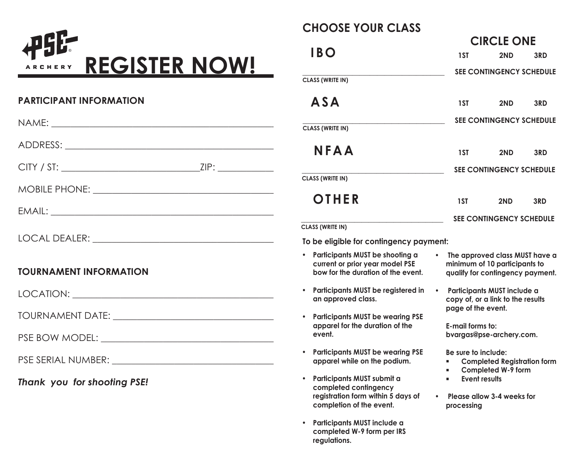

### **PARTICIPANT INFORMATION**

|                               | <b>CLASS (WRITE IN)</b>                                                                                               |
|-------------------------------|-----------------------------------------------------------------------------------------------------------------------|
|                               | <b>NFAA</b>                                                                                                           |
|                               |                                                                                                                       |
|                               | <b>CLASS (WRITE IN)</b>                                                                                               |
|                               | OTHER                                                                                                                 |
|                               |                                                                                                                       |
|                               | <b>CLASS (WRITE IN)</b>                                                                                               |
|                               | To be eligible for contingency po                                                                                     |
| <b>TOURNAMENT INFORMATION</b> | • Participants MUST be shooting a<br>current or prior year model PSE<br>bow for the duration of the event             |
|                               | • Participants MUST be registered in<br>an approved class.                                                            |
|                               | • Participants MUST be wearing PSE                                                                                    |
|                               | apparel for the duration of the<br>event.                                                                             |
|                               | <b>Participants MUST be wearing PSE</b><br>apparel while on the podium.                                               |
| Thank you for shooting PSE!   | Participants MUST submit a<br>completed contingency<br>registration form within 5 days of<br>completion of the event. |
|                               | • Participants MUST include a                                                                                         |

# **CHOOSE YOUR CLASS**

**completed W-9 form per IRS**

**regulations.**

|                                                                                                          | <b>CIRCLE ONE</b>                      |                                                                                                     |     |
|----------------------------------------------------------------------------------------------------------|----------------------------------------|-----------------------------------------------------------------------------------------------------|-----|
| IBO                                                                                                      | 1ST                                    | 2ND                                                                                                 | 3RD |
| <b>CLASS (WRITE IN)</b>                                                                                  |                                        | SEE CONTINGENCY SCHEDULE                                                                            |     |
| <b>ASA</b>                                                                                               | 1ST                                    | 2ND                                                                                                 | 3RD |
| <b>CLASS (WRITE IN)</b>                                                                                  |                                        | <b>SEE CONTINGENCY SCHEDULE</b>                                                                     |     |
| <b>NFAA</b>                                                                                              | 1ST                                    | 2ND                                                                                                 | 3RD |
| <b>CLASS (WRITE IN)</b>                                                                                  |                                        | <b>SEE CONTINGENCY SCHEDULE</b>                                                                     |     |
| OTHER                                                                                                    | 1ST                                    | 2ND                                                                                                 | 3RD |
| <b>CLASS (WRITE IN)</b>                                                                                  |                                        | <b>SEE CONTINGENCY SCHEDULE</b>                                                                     |     |
| To be eligible for contingency payment:                                                                  |                                        |                                                                                                     |     |
| Participants MUST be shooting a<br>current or prior year model PSE<br>bow for the duration of the event. |                                        | The approved class MUST have a<br>minimum of 10 participants to<br>qualify for contingency payment. |     |
| Participants MUST be registered in<br>an approved class.                                                 |                                        | Participants MUST include a<br>copy of, or a link to the results                                    |     |
| <b>Participants MUST be wearing PSE</b><br>apparel for the duration of the<br>event.                     | page of the event.<br>E-mail forms to: | bvargas@pse-archery.com.                                                                            |     |
| <b>Participants MUST be wearing PSE</b><br>apparel while on the podium.                                  | Be sure to include:<br>$\blacksquare$  | <b>Completed Registration form</b><br><b>Completed W-9 form</b>                                     |     |

- **• Participants MUST submit a Event results**
	- **• Please allow 3-4 weeks for processing**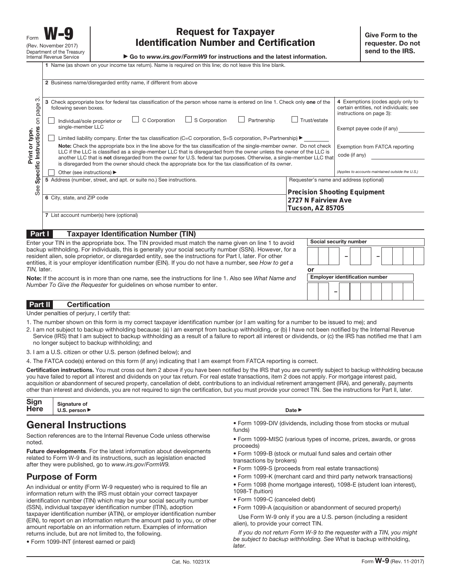▶ Go to *www.irs.gov/FormW9* for instructions and the latest information.

**1** Name (as shown on your income tax return). Name is required on this line; do not leave this line blank.

|                       | 2 Business name/disregarded entity name, if different from above                                                                                                                                                                                                                                                                                                        |                                                                                                                                                       |
|-----------------------|-------------------------------------------------------------------------------------------------------------------------------------------------------------------------------------------------------------------------------------------------------------------------------------------------------------------------------------------------------------------------|-------------------------------------------------------------------------------------------------------------------------------------------------------|
|                       |                                                                                                                                                                                                                                                                                                                                                                         |                                                                                                                                                       |
| က<br>page<br>5        | 3 Check appropriate box for federal tax classification of the person whose name is entered on line 1. Check only one of the<br>following seven boxes.<br>C Corporation<br>$\Box$ S Corporation<br>Partnership<br>Individual/sole proprietor or<br>single-member LLC                                                                                                     | 4 Exemptions (codes apply only to<br>certain entities, not individuals; see<br>instructions on page 3):<br>Trust/estate<br>Exempt payee code (if any) |
| or type.              | Limited liability company. Enter the tax classification (C=C corporation, S=S corporation, P=Partnership) $\blacktriangleright$                                                                                                                                                                                                                                         |                                                                                                                                                       |
| Instructions<br>Print | Note: Check the appropriate box in the line above for the tax classification of the single-member owner. Do not check<br>LLC if the LLC is classified as a single-member LLC that is disregarded from the owner unless the owner of the LLC is<br>another LLC that is not disregarded from the owner for U.S. federal tax purposes. Otherwise, a single-member LLC that | Exemption from FATCA reporting<br>code (if any)                                                                                                       |
|                       | is disregarded from the owner should check the appropriate box for the tax classification of its owner.                                                                                                                                                                                                                                                                 |                                                                                                                                                       |
| Specific              | Other (see instructions) ▶                                                                                                                                                                                                                                                                                                                                              | (Applies to accounts maintained outside the U.S.)                                                                                                     |
|                       | 5 Address (number, street, and apt. or suite no.) See instructions.                                                                                                                                                                                                                                                                                                     | Requester's name and address (optional)                                                                                                               |
| See                   | 6 City, state, and ZIP code                                                                                                                                                                                                                                                                                                                                             | <b>Precision Shooting Equipment</b><br>2727 N Fairview Ave                                                                                            |
|                       |                                                                                                                                                                                                                                                                                                                                                                         | Tucson, AZ 85705                                                                                                                                      |
|                       | 7 List account number(s) here (optional)                                                                                                                                                                                                                                                                                                                                |                                                                                                                                                       |
|                       |                                                                                                                                                                                                                                                                                                                                                                         |                                                                                                                                                       |
|                       |                                                                                                                                                                                                                                                                                                                                                                         |                                                                                                                                                       |
| Part I                | <b>Taxpayer Identification Number (TIN)</b>                                                                                                                                                                                                                                                                                                                             |                                                                                                                                                       |
|                       |                                                                                                                                                                                                                                                                                                                                                                         | $\sim$ $\sim$ $\sim$<br>$\sim$                                                                                                                        |

| Enter your TIN in the appropriate box. The TIN provided must match the name given on line 1 to avoid                                                                                                                                                                                                                              | Social security number                |
|-----------------------------------------------------------------------------------------------------------------------------------------------------------------------------------------------------------------------------------------------------------------------------------------------------------------------------------|---------------------------------------|
| backup withholding. For individuals, this is generally your social security number (SSN). However, for a<br>resident alien, sole proprietor, or disregarded entity, see the instructions for Part I, later. For other<br>entities, it is your employer identification number (EIN). If you do not have a number, see How to get a |                                       |
| TIN, later.                                                                                                                                                                                                                                                                                                                       | or                                    |
| Note: If the account is in more than one name, see the instructions for line 1. Also see What Name and                                                                                                                                                                                                                            | <b>Employer identification number</b> |
| Number To Give the Requester for quidelines on whose number to enter.                                                                                                                                                                                                                                                             |                                       |
| <b>Part II</b><br><b>Certification</b>                                                                                                                                                                                                                                                                                            |                                       |

Under penalties of perjury, I certify that:

- 1. The number shown on this form is my correct taxpayer identification number (or I am waiting for a number to be issued to me); and
- 2. I am not subject to backup withholding because: (a) I am exempt from backup withholding, or (b) I have not been notified by the Internal Revenue Service (IRS) that I am subject to backup withholding as a result of a failure to report all interest or dividends, or (c) the IRS has notified me that I am no longer subject to backup withholding; and
- 3. I am a U.S. citizen or other U.S. person (defined below); and
- 4. The FATCA code(s) entered on this form (if any) indicating that I am exempt from FATCA reporting is correct.

**Certification instructions.** You must cross out item 2 above if you have been notified by the IRS that you are currently subject to backup withholding because you have failed to report all interest and dividends on your tax return. For real estate transactions, item 2 does not apply. For mortgage interest paid, acquisition or abandonment of secured property, cancellation of debt, contributions to an individual retirement arrangement (IRA), and generally, payments other than interest and dividends, you are not required to sign the certification, but you must provide your correct TIN. See the instructions for Part II, later.

| Sign signature of<br>Here U.S. person ► |                            |
|-----------------------------------------|----------------------------|
|                                         | Date $\blacktriangleright$ |

### **General Instructions**

Section references are to the Internal Revenue Code unless otherwise noted.

**Future developments**. For the latest information about developments related to Form W-9 and its instructions, such as legislation enacted after they were published, go to www.irs.gov/FormW9.

#### **Purpose of Form**

An individual or entity (Form W-9 requester) who is required to file an information return with the IRS must obtain your correct taxpayer identification number (TIN) which may be your social security number (SSN), individual taxpayer identification number (ITIN), adoption taxpayer identification number (ATIN), or employer identification number (EIN), to report on an information return the amount paid to you, or other amount reportable on an information return. Examples of information returns include, but are not limited to, the following.

• Form 1099-DIV (dividends, including those from stocks or mutual funds)

• Form 1099-MISC (various types of income, prizes, awards, or gross proceeds)

• Form 1099-B (stock or mutual fund sales and certain other transactions by brokers)

- Form 1099-S (proceeds from real estate transactions)
- Form 1099-K (merchant card and third party network transactions)
- Form 1098 (home mortgage interest), 1098-E (student loan interest), 1098-T (tuition)
- Form 1099-C (canceled debt)
- Form 1099-A (acquisition or abandonment of secured property)

Use Form W-9 only if you are a U.S. person (including a resident alien), to provide your correct TIN.

If you do not return Form W-9 to the requester with a TIN, you might be subject to backup withholding. See What is backup withholding, later.

<sup>•</sup> Form 1099-INT (interest earned or paid)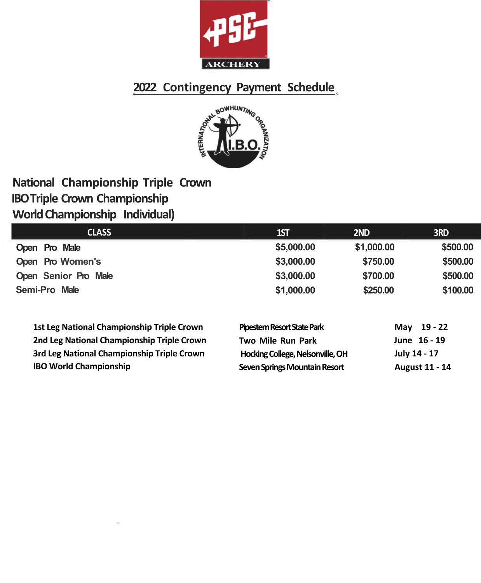



## **National Championship Triple Crown IBO Triple Crown Championship World Championship Individual)**

| <b>CLASS</b>         | 1ST        | 2ND        | <b>3RD</b> |
|----------------------|------------|------------|------------|
| Open Pro Male        | \$5,000.00 | \$1,000.00 | \$500,00   |
| Open Pro Women's     | \$3,000.00 | \$750.00   | \$500.00   |
| Open Senior Pro Male | \$3,000.00 | \$700.00   | \$500.00   |
| Semi-Pro Male        | \$1,000.00 | \$250.00   | \$100.00   |

| <b>1st Leg National Championship Triple Crown</b> | Pipestem Resort State Park       | May 19 - 22           |
|---------------------------------------------------|----------------------------------|-----------------------|
| 2nd Leg National Championship Triple Crown        | Two Mile Run Park                | June 16 - 19          |
| 3rd Leg National Championship Triple Crown        | Hocking College, Nelsonville, OH | July 14 - 17          |
| <b>IBO World Championship</b>                     | Seven Springs Mountain Resort    | <b>August 11 - 14</b> |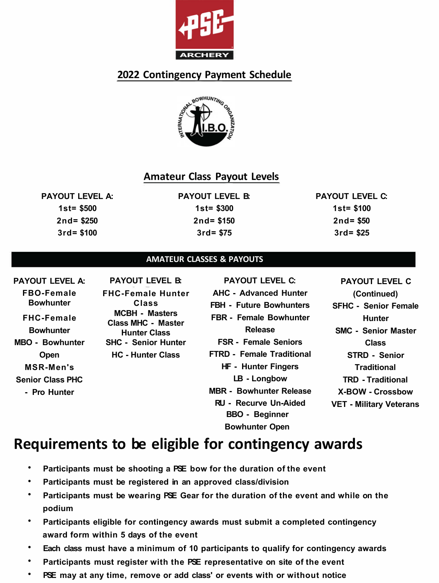



### **Amateur Class Payout Levels**

**PAYOUT LEVEL A: 1st= \$500 2nd= \$250 3rd= \$100** 

**PAYOUT LEVEL B: 1st= \$300 2nd= \$150 3rd= \$75** 

**PAYOUT LEVEL C: 1st= \$100 2nd= \$50 3rd= \$25** 

#### **AMATEUR CLASSES & PAYOUTS**

**PAYOUT LEVEL A: FBO-Female Bowhunter FHC-Female Bowhunter MBO - Bowhunter Open MSR-Men's Senior Class PHC - Pro Hunter PAYOUT LEVEL B: FHC-Female Hunter Class MCBH - Masters Class MHC - Master Hunter Class SHC - Senior Hunter HC - Hunter Class PAYOUT LEVEL C: AHC - Advanced Hunter FBH - Future Bowhunters FBR - Female Bowhunter Release FSR - Female Seniors FTRD - Female Traditional HF - Hunter Fingers LB - Longbow MBR - Bowhunter Release RU - Recurve Un-Aided BBO - Beginner Bowhunter Open PAYOUT LEVEL C (Continued) SFHC - Senior Female Hunter SMC - Senior Master Class STRD - Senior Traditional TRD - Traditional X-BOW - Crossbow VET - Military Veterans** 

- **• Participants must be shooting a PSE bow for the duration of the event**
- **• Participants must be registered in an approved class/division**
- **• Participants must be wearing PSE Gear for the duration of the event and while on the podium**
- **• Participants eligible for contingency awards must submit a completed contingency award form within 5 days of the event**
- **• Each class must have a minimum of 10 participants to qualify for contingency awards**
- **• Participants must register with the PSE representative on site of the event**
- **• PSE may at any time, remove or add class' or events with or without notice**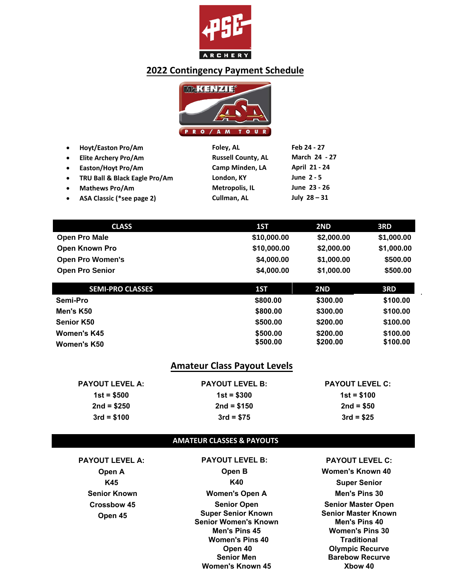



| $\bullet$ | <b>Hoyt/Easton Pro/Am</b>     | Foley, AL                 | Feb 24 - 27    |
|-----------|-------------------------------|---------------------------|----------------|
| $\bullet$ | <b>Elite Archery Pro/Am</b>   | <b>Russell County, AL</b> | March 24 - 27  |
| $\bullet$ | Easton/Hoyt Pro/Am            | Camp Minden, LA           | April 21 - 24  |
| $\bullet$ | TRU Ball & Black Eagle Pro/Am | London, KY                | June 2 - 5     |
| $\bullet$ | <b>Mathews Pro/Am</b>         | Metropolis, IL            | June 23 - 26   |
| $\bullet$ | ASA Classic (*see page 2)     | Cullman, AL               | July $28 - 31$ |

| <b>CLASS</b>            | 1ST         | 2ND        | 3RD        |
|-------------------------|-------------|------------|------------|
| <b>Open Pro Male</b>    | \$10,000.00 | \$2,000.00 | \$1,000.00 |
| <b>Open Known Pro</b>   | \$10,000.00 | \$2,000.00 | \$1,000.00 |
| <b>Open Pro Women's</b> | \$4,000.00  | \$1,000.00 | \$500.00   |
| <b>Open Pro Senior</b>  | \$4,000.00  | \$1,000.00 | \$500.00   |
|                         |             |            |            |

| <b>SEMI-PRO CLASSES</b> | 1ST      | 2ND      | 3RD      |
|-------------------------|----------|----------|----------|
| Semi-Pro                | \$800.00 | \$300.00 | \$100.00 |
| Men's K50               | \$800.00 | \$300.00 | \$100.00 |
| <b>Senior K50</b>       | \$500.00 | \$200.00 | \$100.00 |
| Women's K45             | \$500.00 | \$200.00 | \$100.00 |
| Women's K50             | \$500.00 | \$200,00 | \$100.00 |

## **Amateur Class Payout Levels**

| <b>PAYOUT LEVEL A:</b> | <b>PAYOUT LEVEL B:</b> | <b>PAYOUT LEVEL C:</b> |
|------------------------|------------------------|------------------------|
| $1st = $500$           | $1st = $300$           | $1st = $100$           |
| $2nd = $250$           | $2nd = $150$           | $2nd = $50$            |
| $3rd = $100$           | $3rd = $75$            | $3rd = $25$            |

#### **AMATEUR CLASSES & PAYOUTS**

**PAYOUT LEVEL A: Open A K45 Senior Known Crossbow 45 Open 45** 

**PAYOUT LEVEL B: Open B K40 Women's Open A Senior Open Super Senior Known Senior Women's Known Men's Pins 45 Women's Pins 40 Open 40 Senior Men Women's Known 45**

**PAYOUT LEVEL C: Women's Known 40 Super Senior Men's Pins 30 Senior Master Open Senior Master Known Men's Pins 40 Women's Pins 30 Traditional Olympic Recurve Barebow Recurve Xbow 40**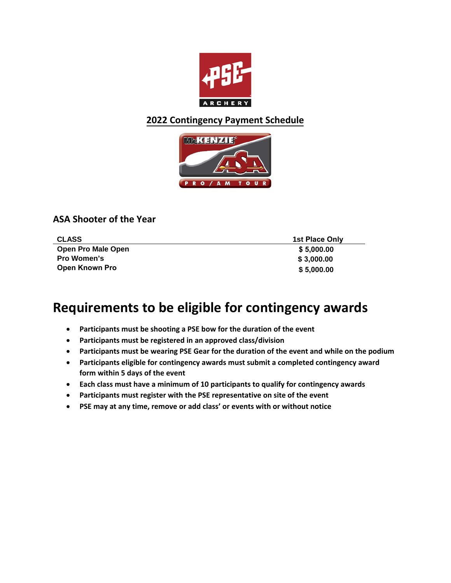



### **ASA Shooter of the Year**

| <b>CLASS</b>              | 1st Place Only |
|---------------------------|----------------|
| <b>Open Pro Male Open</b> | \$5,000.00     |
| <b>Pro Women's</b>        | \$3,000.00     |
| <b>Open Known Pro</b>     | \$5,000.00     |

- **Participants must be shooting a PSE bow for the duration of the event**
- **Participants must be registered in an approved class/division**
- **Participants must be wearing PSE Gear for the duration of the event and while on the podium**
- **Participants eligible for contingency awards must submit a completed contingency award form within 5 days of the event**
- **Each class must have a minimum of 10 participants to qualify for contingency awards**
- **Participants must register with the PSE representative on site of the event**
- **PSE may at any time, remove or add class' or events with or without notice**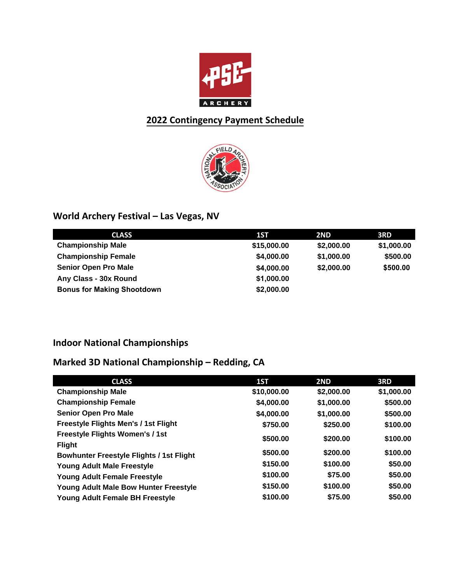



# **World Archery Festival – Las Vegas, NV**

| <b>CLASS</b>                      | 1ST         | 2ND        | 3RD        |
|-----------------------------------|-------------|------------|------------|
| <b>Championship Male</b>          | \$15,000.00 | \$2,000.00 | \$1,000.00 |
| <b>Championship Female</b>        | \$4,000.00  | \$1,000.00 | \$500.00   |
| <b>Senior Open Pro Male</b>       | \$4,000.00  | \$2,000.00 | \$500.00   |
| Any Class - 30x Round             | \$1,000.00  |            |            |
| <b>Bonus for Making Shootdown</b> | \$2,000.00  |            |            |

# **Indoor National Championships**

# **Marked 3D National Championship – Redding, CA**

| <b>CLASS</b>                                    | 1ST         | 2ND        | 3RD        |
|-------------------------------------------------|-------------|------------|------------|
| <b>Championship Male</b>                        | \$10,000.00 | \$2,000.00 | \$1,000.00 |
| <b>Championship Female</b>                      | \$4,000.00  | \$1,000.00 | \$500.00   |
| <b>Senior Open Pro Male</b>                     | \$4,000.00  | \$1,000.00 | \$500.00   |
| Freestyle Flights Men's / 1st Flight            | \$750.00    | \$250.00   | \$100.00   |
| <b>Freestyle Flights Women's / 1st</b>          | \$500.00    | \$200.00   | \$100.00   |
| <b>Flight</b>                                   |             |            |            |
| <b>Bowhunter Freestyle Flights / 1st Flight</b> | \$500.00    | \$200.00   | \$100.00   |
| <b>Young Adult Male Freestyle</b>               | \$150.00    | \$100.00   | \$50.00    |
| <b>Young Adult Female Freestyle</b>             | \$100.00    | \$75.00    | \$50.00    |
| <b>Young Adult Male Bow Hunter Freestyle</b>    | \$150.00    | \$100.00   | \$50.00    |
| Young Adult Female BH Freestyle                 | \$100.00    | \$75.00    | \$50.00    |
|                                                 |             |            |            |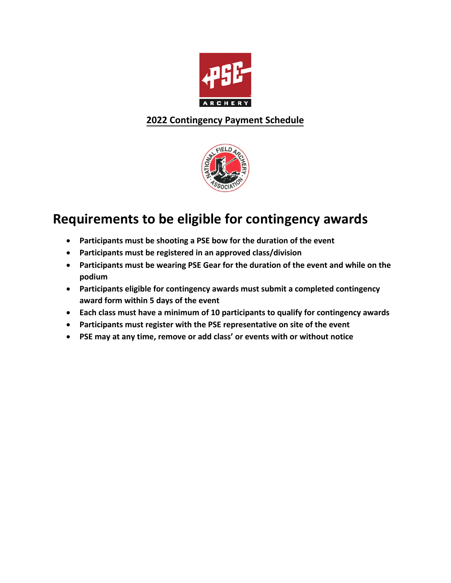



- **Participants must be shooting a PSE bow for the duration of the event**
- **Participants must be registered in an approved class/division**
- **Participants must be wearing PSE Gear for the duration of the event and while on the podium**
- **Participants eligible for contingency awards must submit a completed contingency award form within 5 days of the event**
- **Each class must have a minimum of 10 participants to qualify for contingency awards**
- **Participants must register with the PSE representative on site of the event**
- **PSE may at any time, remove or add class' or events with or without notice**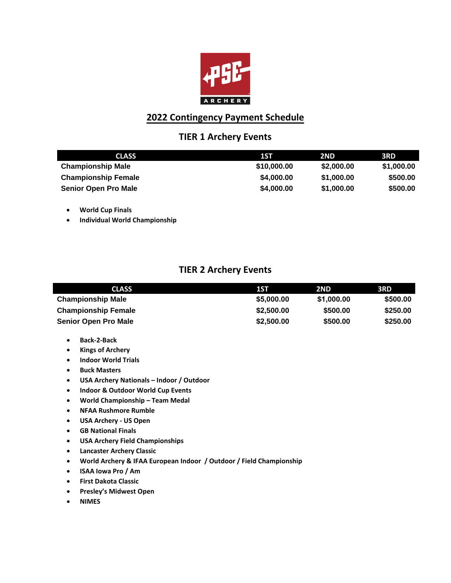

### **TIER 1 Archery Events**

| <b>CLASS</b>                | 1ST         | 2ND.       | 3RD        |
|-----------------------------|-------------|------------|------------|
| <b>Championship Male</b>    | \$10,000.00 | \$2,000.00 | \$1,000.00 |
| <b>Championship Female</b>  | \$4,000.00  | \$1,000.00 | \$500.00   |
| <b>Senior Open Pro Male</b> | \$4,000.00  | \$1,000.00 | \$500.00   |

- **World Cup Finals**
- **Individual World Championship**

### **TIER 2 Archery Events**

| <b>CLASS</b>                | 1ST        | 2ND        | 3RD      |
|-----------------------------|------------|------------|----------|
| <b>Championship Male</b>    | \$5,000,00 | \$1,000.00 | \$500.00 |
| <b>Championship Female</b>  | \$2,500.00 | \$500.00   | \$250.00 |
| <b>Senior Open Pro Male</b> | \$2,500.00 | \$500.00   | \$250.00 |

- **Back-2-Back**
- **Kings of Archery**
- **Indoor World Trials**
- **Buck Masters**
- **USA Archery Nationals Indoor / Outdoor**
- **Indoor & Outdoor World Cup Events**
- **World Championship Team Medal**
- **NFAA Rushmore Rumble**
- **USA Archery US Open**
- **GB National Finals**
- **USA Archery Field Championships**
- **Lancaster Archery Classic**
- **World Archery & IFAA European Indoor / Outdoor / Field Championship**
- **ISAA Iowa Pro / Am**
- **First Dakota Classic**
- **Presley's Midwest Open**
- **NIMES**